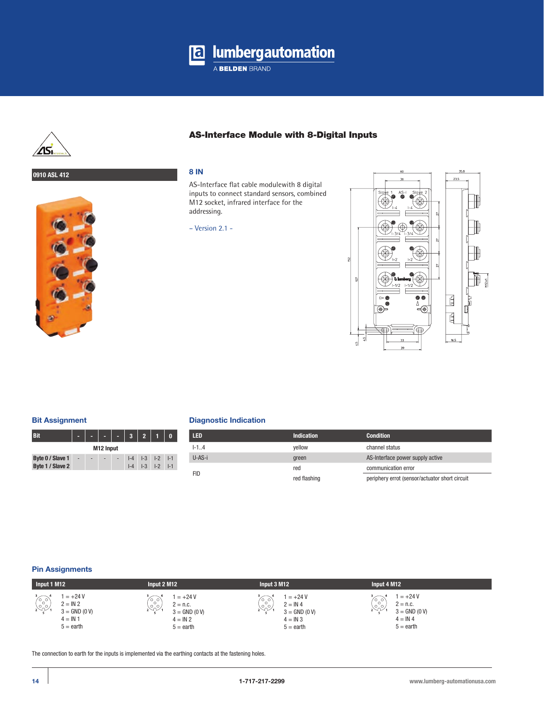



# AS-Interface Module with 8-Digital Inputs

# **0910 ASL 412 8 IN**



AS-Interface flat cable modulewith 8 digital inputs to connect standard sensors, combined M12 socket, infrared interface for the addressing.

– Version 2.1 -



### **Bit Assignment**

| Bit                                  |    |  |  |    | 3 <sup>1</sup>          | $\overline{2}$ |                                      |         |
|--------------------------------------|----|--|--|----|-------------------------|----------------|--------------------------------------|---------|
| M12 Input                            |    |  |  |    |                         |                |                                      |         |
| Byte 0 / Slave 1<br>Byte 1 / Slave 2 | ÷, |  |  | ÷, | $I - 4$<br>$l - \Delta$ |                | $ -3 $ $ -2 $ $ -1$<br>$ -3 $ $ -2 $ | $  - 1$ |

### **Diagnostic Indication**

| <b>LED</b> | <b>Indication</b> | <b>Condition</b>                               |
|------------|-------------------|------------------------------------------------|
| $1 - 1.4$  | vellow            | channel status                                 |
| U-AS-i     | green             | AS-Interface power supply active               |
| FID        | red               | communication error                            |
|            | red flashing      | periphery errot (sensor/actuator short circuit |

#### **Pin Assignments**



The connection to earth for the inputs is implemented via the earthing contacts at the fastening holes.